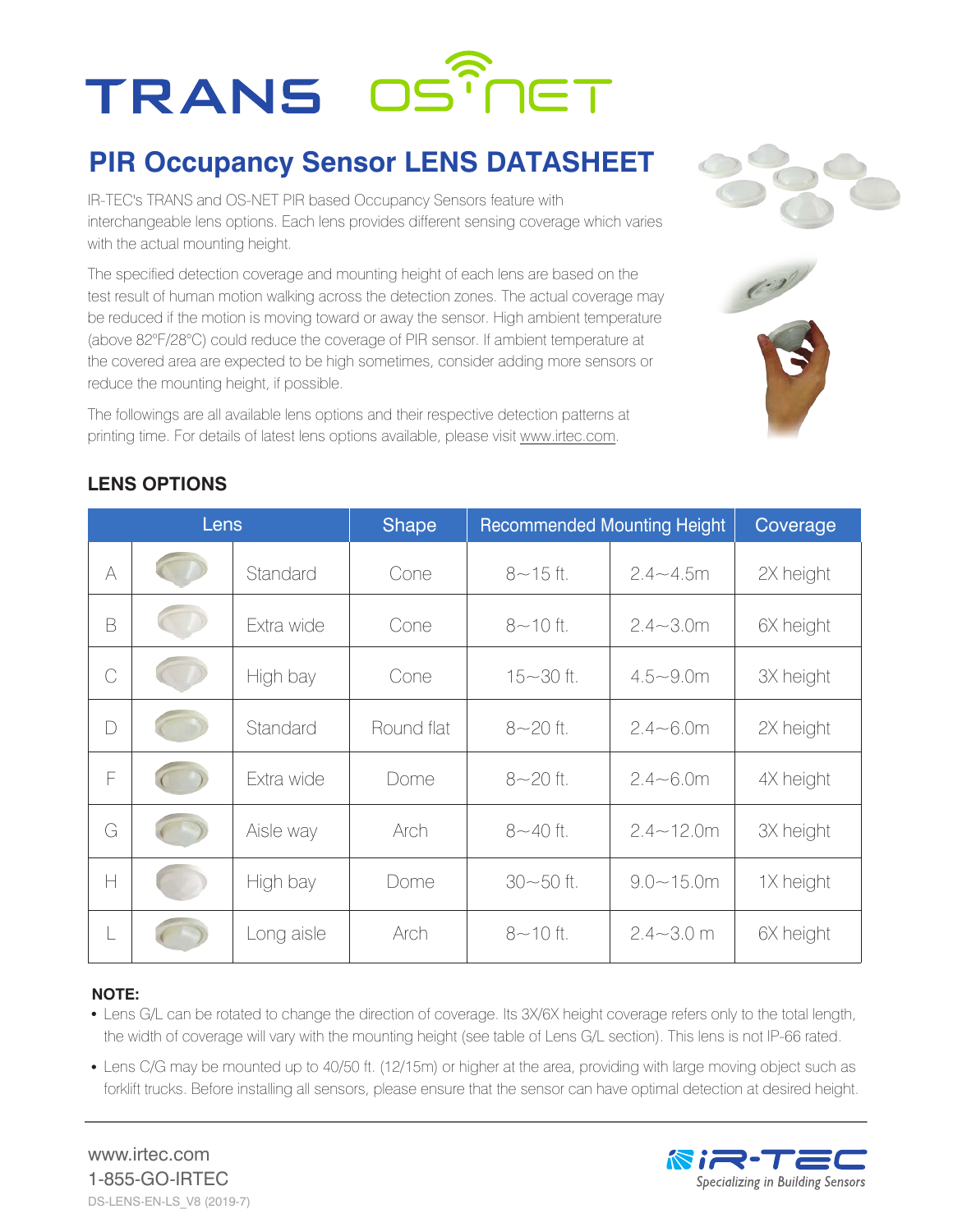# **TRANS OSTMET**

### **PIR Occupancy Sensor LENS DATASHEET**

IR-TEC's TRANS and OS-NET PIR based Occupancy Sensors feature with interchangeable lens options. Each lens provides different sensing coverage which varies with the actual mounting height.

The specified detection coverage and mounting height of each lens are based on the test result of human motion walking across the detection zones. The actual coverage may be reduced if the motion is moving toward or away the sensor. High ambient temperature (above 82°F/28°C) could reduce the coverage of PIR sensor. If ambient temperature at the covered area are expected to be high sometimes, consider adding more sensors or reduce the mounting height, if possible.

The followings are all available lens options and their respective detection patterns at printing time. For details of latest lens options available, please visit www.irtec.com.





#### **LENS OPTIONS**

| Lens           |  |            | <b>Shape</b> | <b>Recommended Mounting Height</b> |                | Coverage  |
|----------------|--|------------|--------------|------------------------------------|----------------|-----------|
| A              |  | Standard   | Cone         | $8 - 15$ ft.                       | $2.4 - 4.5m$   | 2X height |
| B              |  | Extra wide | Cone         | $8 - 10$ ft.                       | $2.4 - 3.0m$   | 6X height |
| $\overline{C}$ |  | High bay   | Cone         | $15 - 30$ ft.                      | $4.5 - 9.0m$   | 3X height |
| D              |  | Standard   | Round flat   | $8 - 20$ ft.                       | $2.4 - 6.0m$   | 2X height |
| F              |  | Extra wide | Dome         | $8 - 20$ ft.                       | $2.4 - 6.0m$   | 4X height |
| G              |  | Aisle way  | Arch         | $8 - 40$ ft.                       | $2.4 - 12.0$ m | 3X height |
| H              |  | High bay   | Dome         | $30 - 50$ ft.                      | $9.0 - 15.0$ m | 1X height |
| L              |  | Long aisle | Arch         | $8 - 10$ ft.                       | $2.4 - 3.0$ m  | 6X height |

#### **NOTE:**

- Lens G/L can be rotated to change the direction of coverage. Its 3X/6X height coverage refers only to the total length, the width of coverage will vary with the mounting height (see table of Lens G/L section). This lens is not IP-66 rated.
- Lens C/G may be mounted up to 40/50 ft. (12/15m) or higher at the area, providing with large moving object such as forklift trucks. Before installing all sensors, please ensure that the sensor can have optimal detection at desired height.

www.irtec.com 1-855-GO-IRTEC DS-LENS-EN-LS\_V8 (2019-7)

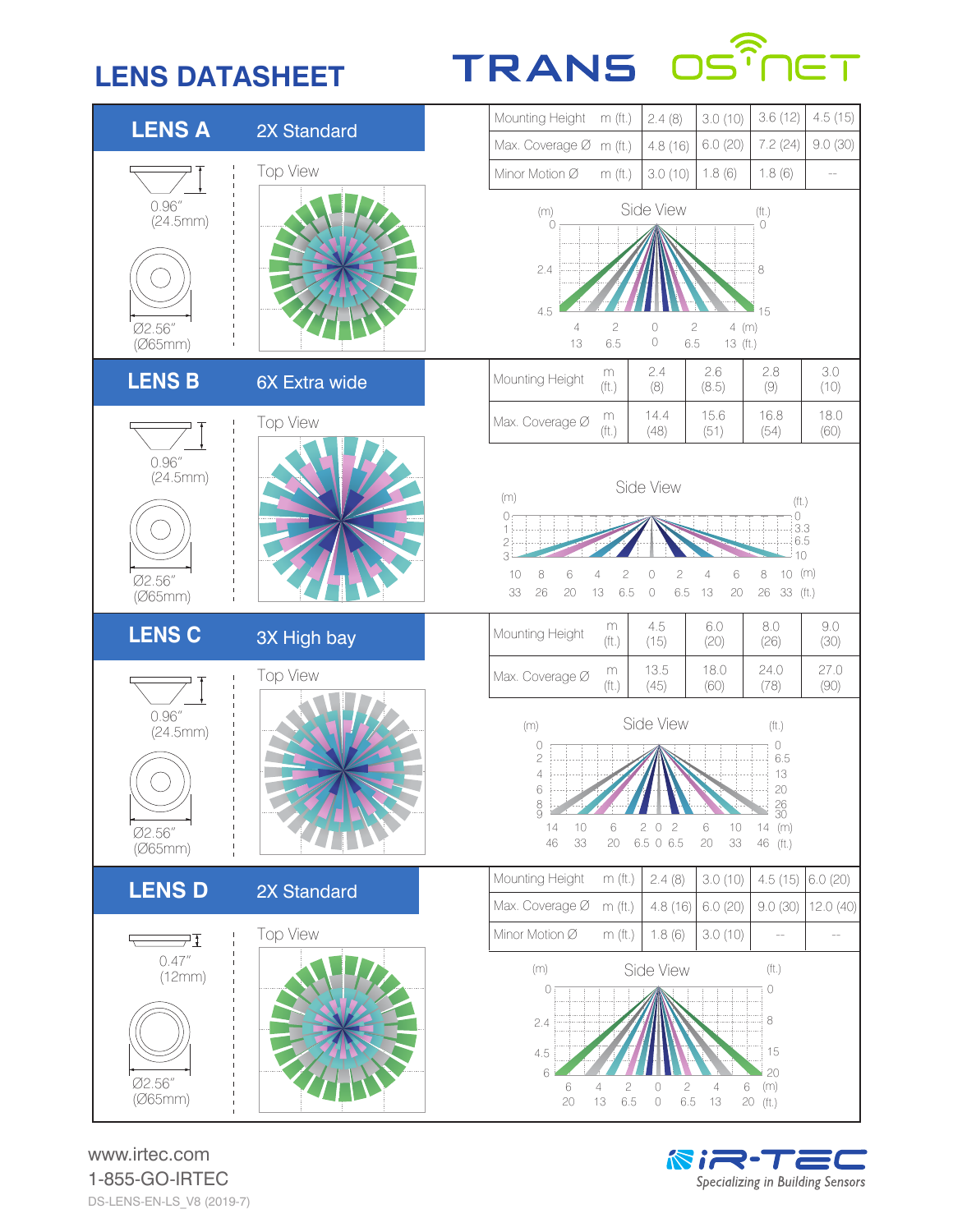### **LENS DATASHEET**

## **TRANS OS**<sup>?</sup>



www.irtec.com 1-855-GO-IRTEC DS-LENS-EN-LS\_V8 (2019-7)

NIR-TE Specializing in Building Sensors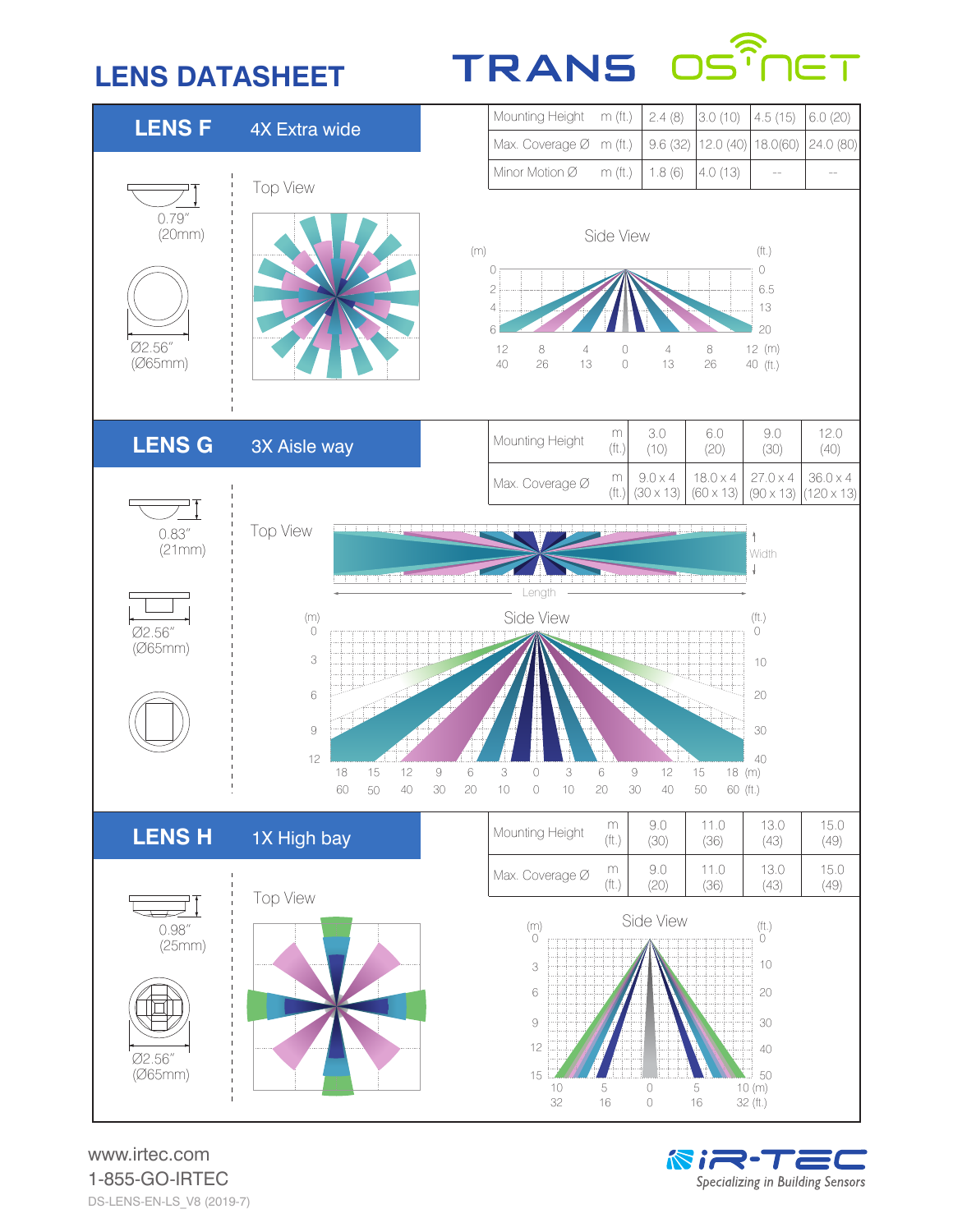### **LENS DATASHEET**

### TRANS OS ନ



www.irtec.com 1-855-GO-IRTEC DS-LENS-EN-LS\_V8 (2019-7)